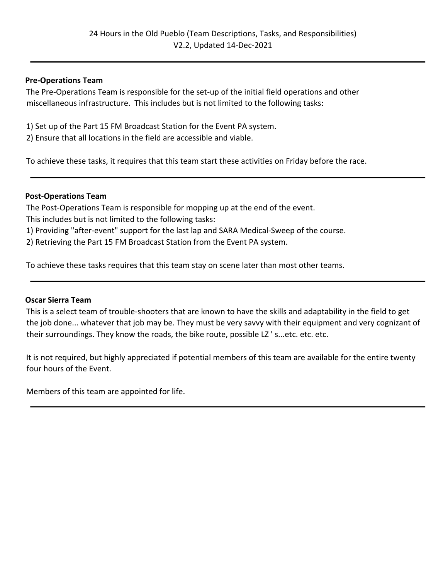### **Pre-Operations Team**

The Pre-Operations Team is responsible for the set-up of the initial field operations and other miscellaneous infrastructure. This includes but is not limited to the following tasks:

1) Set up of the Part 15 FM Broadcast Station for the Event PA system.

2) Ensure that all locations in the field are accessible and viable.

To achieve these tasks, it requires that this team start these activities on Friday before the race.

### **Post-Operations Team**

The Post-Operations Team is responsible for mopping up at the end of the event. This includes but is not limited to the following tasks: 1) Providing "after-event" support for the last lap and SARA Medical-Sweep of the course. 2) Retrieving the Part 15 FM Broadcast Station from the Event PA system.

To achieve these tasks requires that this team stay on scene later than most other teams.

### **Oscar Sierra Team**

This is a select team of trouble-shooters that are known to have the skills and adaptability in the field to get the job done... whatever that job may be. They must be very savvy with their equipment and very cognizant of their surroundings. They know the roads, the bike route, possible LZ ' s...etc. etc. etc.

It is not required, but highly appreciated if potential members of this team are available for the entire twenty four hours of the Event.

Members of this team are appointed for life.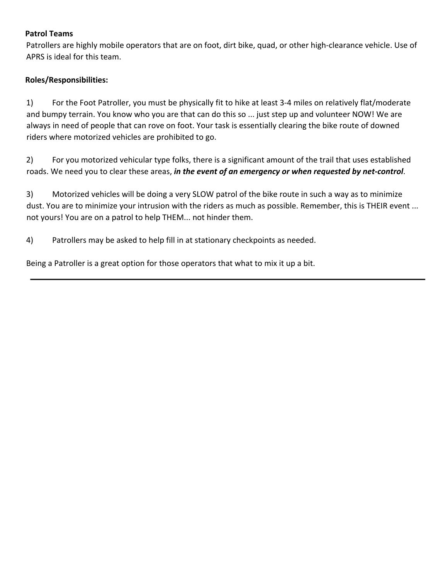### **Patrol Teams**

Patrollers are highly mobile operators that are on foot, dirt bike, quad, or other high-clearance vehicle. Use of APRS is ideal for this team.

### **Roles/Responsibilities:**

1) For the Foot Patroller, you must be physically fit to hike at least 3-4 miles on relatively flat/moderate and bumpy terrain. You know who you are that can do this so ... just step up and volunteer NOW! We are always in need of people that can rove on foot. Your task is essentially clearing the bike route of downed riders where motorized vehicles are prohibited to go.

2) For you motorized vehicular type folks, there is a significant amount of the trail that uses established roads. We need you to clear these areas, *in the event of an emergency or when requested by net-control*.

3) Motorized vehicles will be doing a very SLOW patrol of the bike route in such a way as to minimize dust. You are to minimize your intrusion with the riders as much as possible. Remember, this is THEIR event ... not yours! You are on a patrol to help THEM... not hinder them.

4) Patrollers may be asked to help fill in at stationary checkpoints as needed.

Being a Patroller is a great option for those operators that what to mix it up a bit.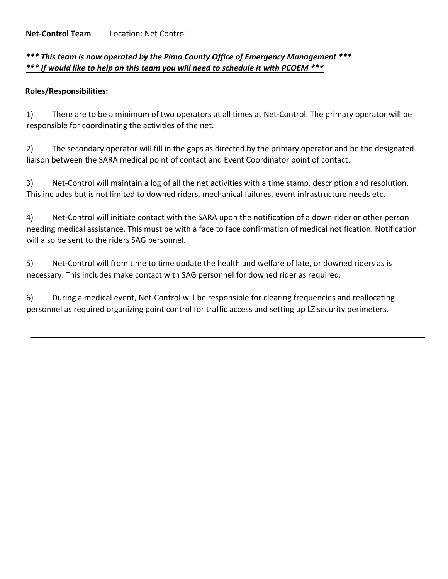# *\*\*\* This team is now operated by the Pima County Office of Emergency Management \*\*\* \*\*\* If would like to help on this team you will need to schedule it with PCOEM \*\*\**

## **Roles/Responsibilities:**

1) There are to be a minimum of two operators at all times at Net-Control. The primary operator will be responsible for coordinating the activities of the net.

2) The secondary operator will fill in the gaps as directed by the primary operator and be the designated liaison between the SARA medical point of contact and Event Coordinator point of contact.

3) Net-Control will maintain a log of all the net activities with a time stamp, description and resolution. This includes but is not limited to downed riders, mechanical failures, event infrastructure needs etc.

4) Net-Control will initiate contact with the SARA upon the notification of a down rider or other person needing medical assistance. This must be with a face to face confirmation of medical notification. Notification will also be sent to the riders SAG personnel.

5) Net-Control will from time to time update the health and welfare of late, or downed riders as is necessary. This includes make contact with SAG personnel for downed rider as required.

6) During a medical event, Net-Control will be responsible for clearing frequencies and reallocating personnel as required organizing point control for traffic access and setting up LZ security perimeters.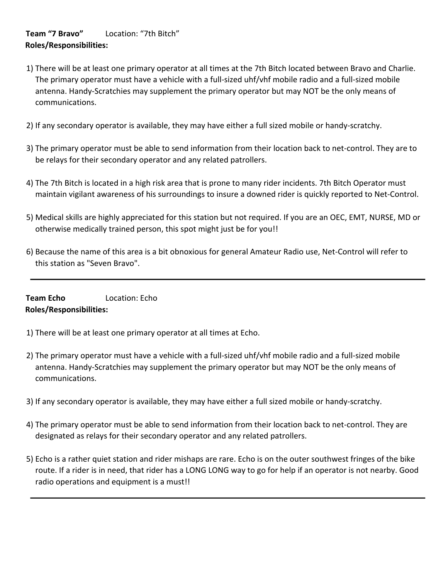## **Team "7 Bravo"** Location: "7th Bitch" **Roles/Responsibilities:**

- 1) There will be at least one primary operator at all times at the 7th Bitch located between Bravo and Charlie. The primary operator must have a vehicle with a full-sized uhf/vhf mobile radio and a full-sized mobile antenna. Handy-Scratchies may supplement the primary operator but may NOT be the only means of communications.
- 2) If any secondary operator is available, they may have either a full sized mobile or handy-scratchy.
- 3) The primary operator must be able to send information from their location back to net-control. They are to be relays for their secondary operator and any related patrollers.
- 4) The 7th Bitch is located in a high risk area that is prone to many rider incidents. 7th Bitch Operator must maintain vigilant awareness of his surroundings to insure a downed rider is quickly reported to Net-Control.
- 5) Medical skills are highly appreciated for this station but not required. If you are an OEC, EMT, NURSE, MD or otherwise medically trained person, this spot might just be for you!!
- 6) Because the name of this area is a bit obnoxious for general Amateur Radio use, Net-Control will refer to this station as "Seven Bravo".

**Team Echo** Location: Echo **Roles/Responsibilities:** 

- 1) There will be at least one primary operator at all times at Echo.
- 2) The primary operator must have a vehicle with a full-sized uhf/vhf mobile radio and a full-sized mobile antenna. Handy-Scratchies may supplement the primary operator but may NOT be the only means of communications.
- 3) If any secondary operator is available, they may have either a full sized mobile or handy-scratchy.
- 4) The primary operator must be able to send information from their location back to net-control. They are designated as relays for their secondary operator and any related patrollers.
- 5) Echo is a rather quiet station and rider mishaps are rare. Echo is on the outer southwest fringes of the bike route. If a rider is in need, that rider has a LONG LONG way to go for help if an operator is not nearby. Good radio operations and equipment is a must!!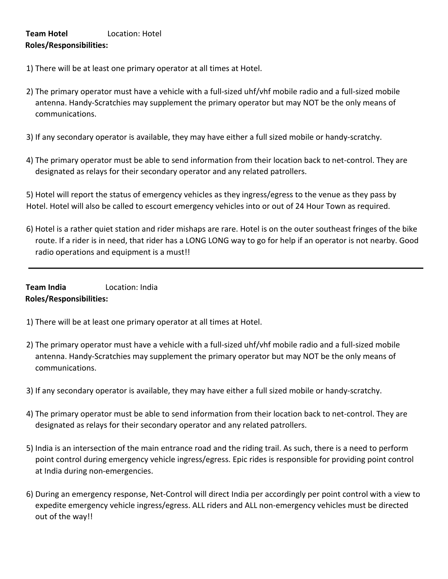## **Team Hotel** Location: Hotel **Roles/Responsibilities:**

- 1) There will be at least one primary operator at all times at Hotel.
- 2) The primary operator must have a vehicle with a full-sized uhf/vhf mobile radio and a full-sized mobile antenna. Handy-Scratchies may supplement the primary operator but may NOT be the only means of communications.
- 3) If any secondary operator is available, they may have either a full sized mobile or handy-scratchy.
- 4) The primary operator must be able to send information from their location back to net-control. They are designated as relays for their secondary operator and any related patrollers.

5) Hotel will report the status of emergency vehicles as they ingress/egress to the venue as they pass by Hotel. Hotel will also be called to escourt emergency vehicles into or out of 24 Hour Town as required.

6) Hotel is a rather quiet station and rider mishaps are rare. Hotel is on the outer southeast fringes of the bike route. If a rider is in need, that rider has a LONG LONG way to go for help if an operator is not nearby. Good radio operations and equipment is a must!!

## **Team India** Location: India **Roles/Responsibilities:**

- 1) There will be at least one primary operator at all times at Hotel.
- 2) The primary operator must have a vehicle with a full-sized uhf/vhf mobile radio and a full-sized mobile antenna. Handy-Scratchies may supplement the primary operator but may NOT be the only means of communications.
- 3) If any secondary operator is available, they may have either a full sized mobile or handy-scratchy.
- 4) The primary operator must be able to send information from their location back to net-control. They are designated as relays for their secondary operator and any related patrollers.
- 5) India is an intersection of the main entrance road and the riding trail. As such, there is a need to perform point control during emergency vehicle ingress/egress. Epic rides is responsible for providing point control at India during non-emergencies.
- 6) During an emergency response, Net-Control will direct India per accordingly per point control with a view to expedite emergency vehicle ingress/egress. ALL riders and ALL non-emergency vehicles must be directed out of the way!!